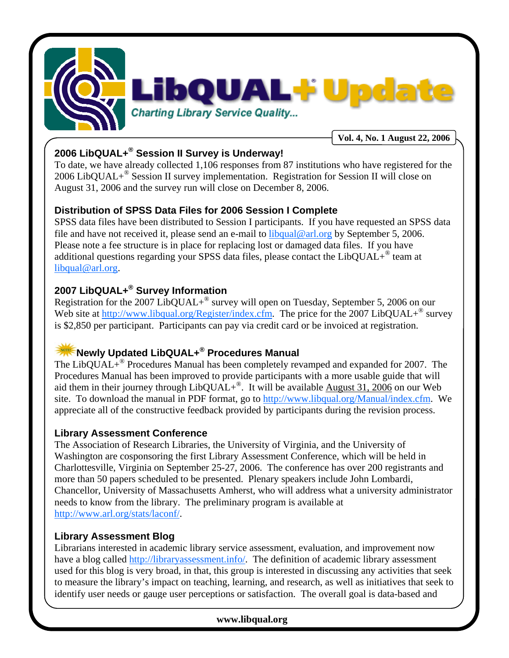

# **2006 LibQUAL+® Session II Survey is Underway!**

To date, we have already collected 1,106 responses from 87 institutions who have registered for the 2006 LibQUAL+® Session II survey implementation. Registration for Session II will close on August 31, 2006 and the survey run will close on December 8, 2006.

#### **Distribution of SPSS Data Files for 2006 Session I Complete**

SPSS data files have been distributed to Session I participants. If you have requested an SPSS data file and have not received it, please send an e-mail to  $\frac{1}{2}$  ibqual@arl.org by September 5, 2006. Please note a fee structure is in place for replacing lost or damaged data files. If you have additional questions regarding your SPSS data files, please contact the  $LibQUAL+^{\circledcirc}$  team at libqual@arl.org.

## **2007 LibQUAL+® Survey Information**

Registration for the 2007 LibQUAL+® survey will open on Tuesday, September 5, 2006 on our Web site at http://www.libqual.org/Register/index.cfm. The price for the 2007 LibQUAL+<sup>®</sup> survey is \$2,850 per participant. Participants can pay via credit card or be invoiced at registration.

## **Newly Updated LibQUAL+® Procedures Manual**

The LibQUAL+<sup>®</sup> Procedures Manual has been completely revamped and expanded for 2007. The Procedures Manual has been improved to provide participants with a more usable guide that will aid them in their journey through LibQUAL+<sup>®</sup>. It will be available August 31, 2006 on our Web site. To download the manual in PDF format, go to http://www.libqual.org/Manual/index.cfm. We appreciate all of the constructive feedback provided by participants during the revision process.

#### **Library Assessment Conference**

The Association of Research Libraries, the University of Virginia, and the University of Washington are cosponsoring the first Library Assessment Conference, which will be held in Charlottesville, Virginia on September 25-27, 2006. The conference has over 200 registrants and more than 50 papers scheduled to be presented. Plenary speakers include John Lombardi, Chancellor, University of Massachusetts Amherst, who will address what a university administrator needs to know from the library. The preliminary program is available at http://www.arl.org/stats/laconf/.

#### **Library Assessment Blog**

Librarians interested in academic library service assessment, evaluation, and improvement now have a blog called http://libraryassessment.info/. The definition of academic library assessment used for this blog is very broad, in that, this group is interested in discussing any activities that seek to measure the library's impact on teaching, learning, and research, as well as initiatives that seek to identify user needs or gauge user perceptions or satisfaction. The overall goal is data-based and